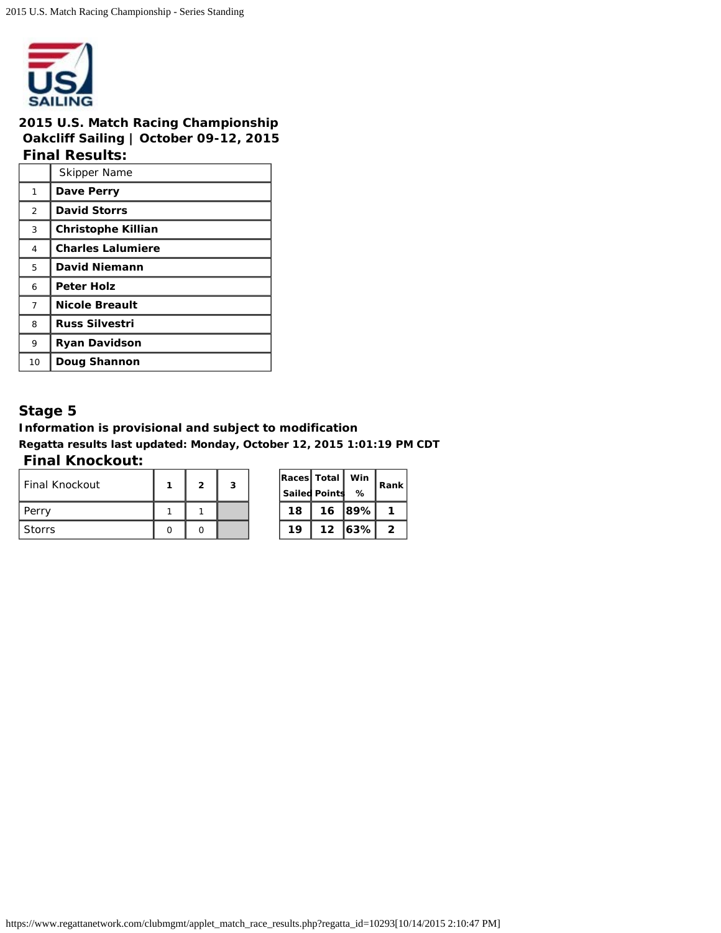

### **2015 U.S. Match Racing Championship Oakcliff Sailing | October 09-12, 2015 Final Results:**

|                | <b>Skipper Name</b>       |
|----------------|---------------------------|
| 1              | Dave Perry                |
| 2              | <b>David Storrs</b>       |
| 3              | <b>Christophe Killian</b> |
| 4              | <b>Charles Lalumiere</b>  |
| 5              | <b>David Niemann</b>      |
| 6              | Peter Holz                |
| $\overline{7}$ | <b>Nicole Breault</b>     |
| 8              | <b>Russ Silvestri</b>     |
| 9              | <b>Ryan Davidson</b>      |
| 10             | Doug Shannon              |

# **Stage 5**

**Information is provisional and subject to modification Regatta results last updated: Monday, October 12, 2015 1:01:19 PM CDT**

### **Final Knockout:**

| l Final Knockout | 2 | 3 |    | Races Total<br><b>Sailed Points</b> | Win<br>%      | Rar                     |
|------------------|---|---|----|-------------------------------------|---------------|-------------------------|
| Perry            |   |   | 18 | 16                                  | <u> ।89%।</u> | $\mathbf{1}$            |
| Storrs           |   |   | 19 |                                     | 12  63%       | $\overline{\mathbf{2}}$ |

|    | Races  Total         | Win  | Rank |
|----|----------------------|------|------|
|    | <b>Sailed Points</b> | ℅    |      |
| 18 | 16                   | 189% |      |
| 19 | 12                   | 63%  | ン    |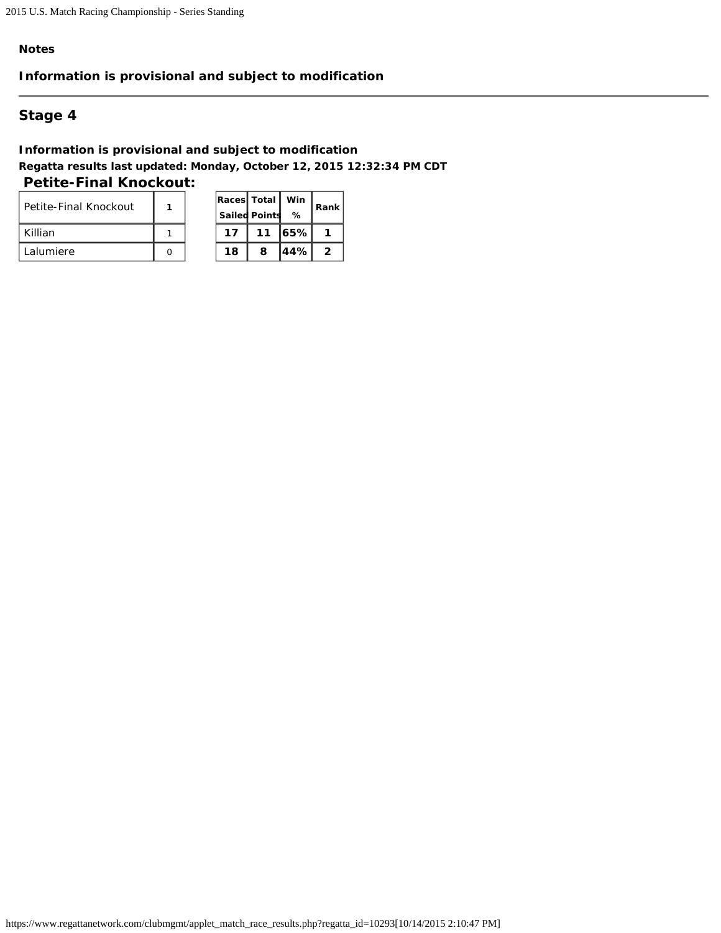## **Information is provisional and subject to modification**

# **Stage 4**

**Information is provisional and subject to modification Regatta results last updated: Monday, October 12, 2015 12:32:34 PM CDT Petite-Final Knockout:** 

| l Petite-Final Knockout |  |    | Races Total Win<br><b>Sailed Points</b> | %        | Rar            |
|-------------------------|--|----|-----------------------------------------|----------|----------------|
| Killian                 |  | 17 | 11                                      | $ 65\% $ |                |
| l Lalumiere             |  | 18 |                                         | 144%I    | $\overline{2}$ |

| Races Total |                      | Win | Rank |
|-------------|----------------------|-----|------|
|             | <b>Sailed Points</b> | ℅   |      |
| 17          | 11                   | 65% |      |
| 18          | 8                    | 44% | 2    |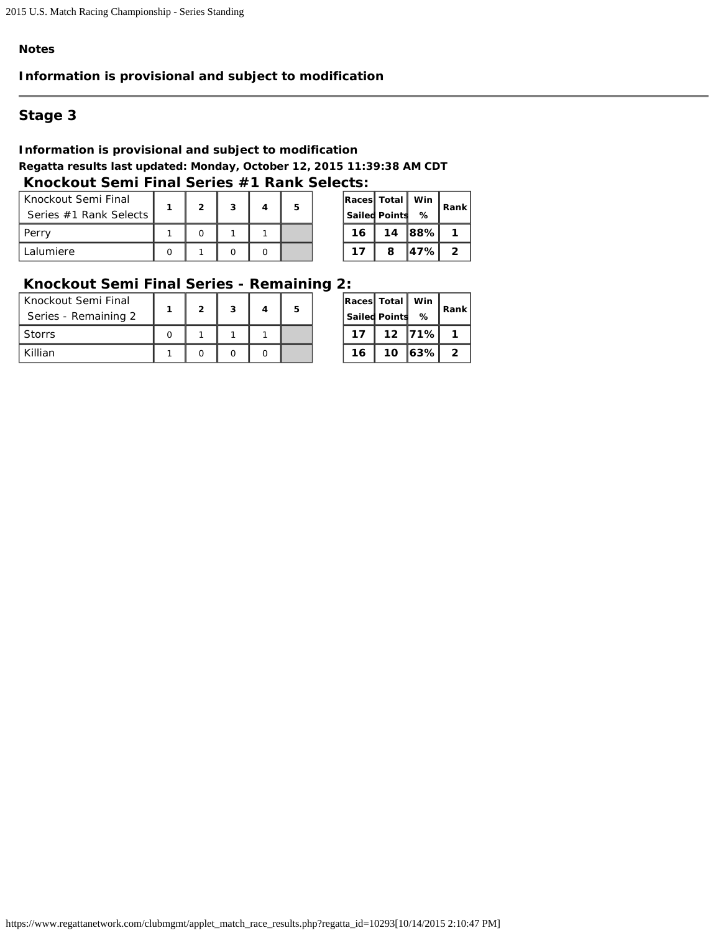## **Information is provisional and subject to modification**

# **Stage 3**

### **Information is provisional and subject to modification Regatta results last updated: Monday, October 12, 2015 11:39:38 AM CDT Knockout Semi Final Series #1 Rank Selects:**

| Knockout Semi Final<br>Series #1 Rank Selects |  | 3 |  |    | Races Total<br><b>Sailed Points</b> | . Win 『<br>% | Rar                     |
|-----------------------------------------------|--|---|--|----|-------------------------------------|--------------|-------------------------|
| Perry                                         |  |   |  | 16 | 14                                  | 88%          | 1                       |
| l Lalumiere                                   |  |   |  |    |                                     | $47\%$       | $\overline{\mathbf{2}}$ |

|    | Races  Total  <br>Win |     | Rank |  |  |
|----|-----------------------|-----|------|--|--|
|    | <b>Sailed Points</b>  | %   |      |  |  |
| 16 | 14                    | 88% |      |  |  |
| 17 | 8                     | 47% | 2    |  |  |

# **Knockout Semi Final Series - Remaining 2:**

| Knockout Semi Final<br>Series - Remaining 2 | ົ | 3 | 5 |    | <b>Races Total Win</b><br><b>Sailed Points</b> | %        | Rar                     |
|---------------------------------------------|---|---|---|----|------------------------------------------------|----------|-------------------------|
| Storrs                                      |   |   |   | 17 |                                                | 12 71%   | $\mathbf{1}$            |
| Killian                                     |   |   |   | 16 | 10                                             | $ 63\% $ | $\overline{\mathbf{2}}$ |

| Races Total | <b>Sailed Points</b> | Win<br>% | Rank I |
|-------------|----------------------|----------|--------|
| 17          | 12                   | 71%      |        |
| 16          | 10                   | 63%      | 2      |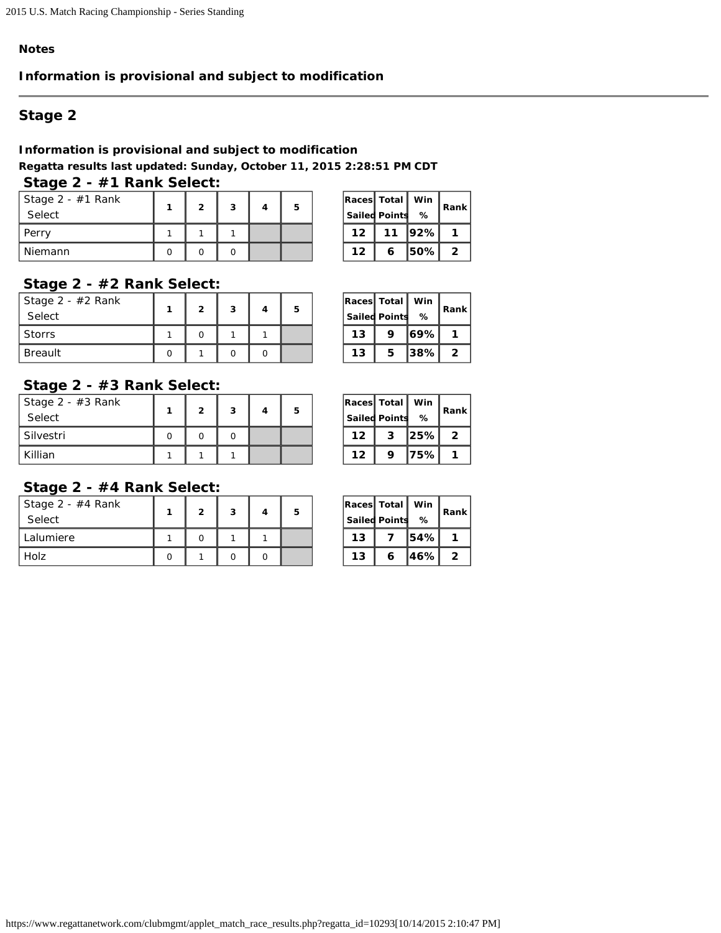## **Information is provisional and subject to modification**

# **Stage 2**

## **Information is provisional and subject to modification**

**Regatta results last updated: Sunday, October 11, 2015 2:28:51 PM CDT**

# **Stage 2 - #1 Rank Select:**

| Stage 2 - #1 Rank<br>Select | <u>ຼ</u> | 3 |  |    | Races Total   Win<br><b>Sailed Points</b> | ℅        | Rar                     |
|-----------------------------|----------|---|--|----|-------------------------------------------|----------|-------------------------|
| Perry                       |          |   |  | 12 | 11                                        | $ 92\% $ | $\mathbf{1}$            |
| Niemann                     |          |   |  | 12 |                                           | l50%l    | $\overline{\mathbf{2}}$ |

| Races Total |                      | Win |      |
|-------------|----------------------|-----|------|
|             | <b>Sailed Points</b> | %   | Rank |
| 12          | 11                   | 92% |      |
| 12          | 6                    | 50% | 2    |

### **Stage 2 - #2 Rank Select:**

| Stage 2 - #2 Rank<br>Select | ົ | 3 |  |    | $\vert$ Races $\vert$ Total $\vert$ Win $\vert$<br><b>Sailed Points</b> | %        | Rar                     |
|-----------------------------|---|---|--|----|-------------------------------------------------------------------------|----------|-------------------------|
| Storrs                      |   |   |  | 13 |                                                                         | 169%1    | 1                       |
| Breault                     |   |   |  | 13 |                                                                         | $ 38\% $ | $\overline{\mathbf{2}}$ |

| Races Total |                      | Win | Rank l |
|-------------|----------------------|-----|--------|
|             | <b>Sailed Points</b> | ℅   |        |
| 13          | 9                    | 69% |        |
| 13          | 5                    | 38% | 2      |

### **Stage 2 - #3 Rank Select:**

| Stage 2 - #3 Rank<br>Select | ົ | 3 | 5 |    | Races Total   Win  <br><b>Sailed Points</b> | %    | Rar            |
|-----------------------------|---|---|---|----|---------------------------------------------|------|----------------|
| Silvestri                   |   |   |   | 12 | 3                                           | 25%  | $\overline{2}$ |
| Killian                     |   |   |   | 12 |                                             | 75%I | 1              |

| Races Total |                      | Win |      |
|-------------|----------------------|-----|------|
|             | <b>Sailed Points</b> | ℅   | Rank |
| 12          | 3                    | 25% | 2    |
| 12          | 9                    | 75% |      |

## **Stage 2 - #4 Rank Select:**

| Stage $2 - #4$ Rank<br>Select | ົ | 3 | 5 |    | <b>Races Total</b><br><b>Sailed Points</b> | ,Win "<br>℅ | Rar            |
|-------------------------------|---|---|---|----|--------------------------------------------|-------------|----------------|
| Lalumiere                     |   |   |   | 13 |                                            | l54%l       | 1              |
| Holz                          |   |   |   | 13 |                                            | ا%46.       | $\overline{2}$ |

| Races Total |                      | Win | Rank |  |  |  |
|-------------|----------------------|-----|------|--|--|--|
|             | <b>Sailed Points</b> | %   |      |  |  |  |
| 13          |                      | 54% |      |  |  |  |
| 13          | 6                    | 46% | 2    |  |  |  |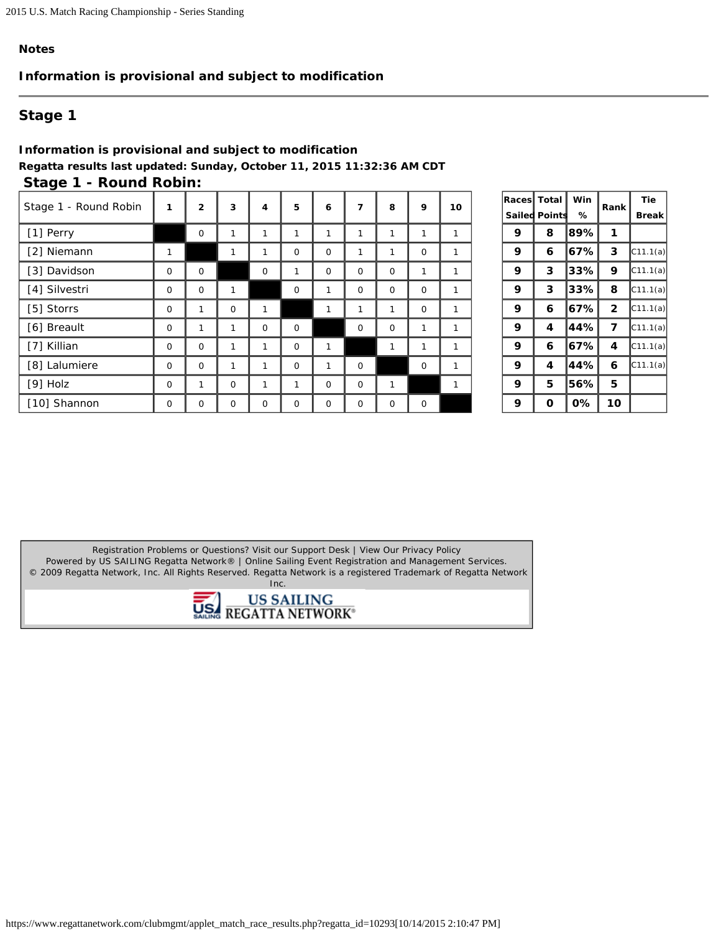## **Information is provisional and subject to modification**

# **Stage 1**

### **Information is provisional and subject to modification Regatta results last updated: Sunday, October 11, 2015 11:32:36 AM CDT Stage 1 - Round Robin:**

| Stage 1 - Round Robin | 1        | $\overline{2}$ | 3            | 4           | 5            | 6        | 7           | 8           | 9           | 10 |   | <b>Races</b> Total<br>Sailed Points | Win<br>% | Rank            | Tie<br><b>Break</b> |
|-----------------------|----------|----------------|--------------|-------------|--------------|----------|-------------|-------------|-------------|----|---|-------------------------------------|----------|-----------------|---------------------|
| [1] Perry             |          | 0              |              |             |              |          |             |             |             | 1  | 9 | 8                                   | 89%      |                 |                     |
| [2] Niemann           |          |                | 1            |             | 0            | $\Omega$ | 1           |             | $\Omega$    | 1  | 9 | 6                                   | $ 67\% $ | 3               | C11.1(a)            |
| [3] Davidson          | $\Omega$ | $\mathbf 0$    |              | $\mathbf 0$ | 1            | $\Omega$ | $\Omega$    | $\mathbf 0$ |             | 1  | 9 | 3                                   | 33%      | 9               | C11.1(a)            |
| [4] Silvestri         | 0        | 0              |              |             | $\mathbf 0$  |          | $\mathbf 0$ | $\mathbf 0$ | $\mathbf 0$ | 1  | 9 | 3                                   | 33%      | 8               | C11.1(a)            |
| [5] Storrs            | 0        |                | $\mathbf 0$  |             |              |          | 1           |             | $\Omega$    | 1  | 9 | 6                                   | 67%      | $\overline{2}$  | C11.1(a)            |
| [6] Breault           | $\Omega$ |                |              | $\mathbf 0$ | 0            |          | $\mathbf 0$ | $\mathbf 0$ |             | 1  | 9 | 4                                   | 44%      | 7               | C11.1(a)            |
| [7] Killian           | 0        | $\mathbf{O}$   | $\mathbf{1}$ |             | $\mathsf{O}$ |          |             |             |             | 1  | 9 | 6                                   | 167%     | 4               | C11.1(a)            |
| [8] Lalumiere         | 0        | 0              | 1            | 1           | $\mathbf 0$  |          | $\mathbf 0$ |             | $\mathbf 0$ | 1  | 9 | 4                                   | 44%      | 6               | C11.1(a)            |
| $[9]$ Holz            | $\Omega$ |                | $\Omega$     |             | 1            | $\Omega$ | $\Omega$    |             |             | 1  | 9 | 5                                   | 56%      | 5               |                     |
| [10] Shannon          | $\Omega$ | 0              | $\Omega$     | $\mathbf 0$ | $\mathbf 0$  | $\Omega$ | $\Omega$    | $\Omega$    | $\Omega$    |    | 9 | $\Omega$                            | 0%       | 10 <sup>°</sup> |                     |

| Races  | Total   | Win | Rank | Tie      |
|--------|---------|-----|------|----------|
| Sailed | Pointst | ℅   |      | Break    |
| 9      | 8       | 89% | 1    |          |
| 9      | 6       | 67% | 3    | C11.1(a) |
| 9      | 3       | 33% | 9    | C11.1(a) |
| 9      | 3       | 33% | 8    | C11.1(a) |
| 9      | 6       | 67% | 2    | C11.1(a) |
| 9      | 4       | 44% | 7    | C11.1(a) |
| 9      | 6       | 67% | 4    | C11.1(a) |
| 9      | 4       | 44% | 6    | C11.1(a) |
| 9      | 5       | 56% | 5    |          |
| 9      | O       | 0%  | 10   |          |

Registration Problems or Questions? [Visit our Support Desk](http://support.regattanetwork.com/) | [View Our Privacy Policy](http://www.regattanetwork.com/w3c/privacy.html) [Powered by US SAILING Regatta Network®](http://www.regattanetwork.com/) | Online Sailing Event Registration and Management Services. © 2009 [Regatta Network](http://www.regattanetwork.com/), Inc. All Rights Reserved. Regatta Network is a registered Trademark of Regatta Network Inc.